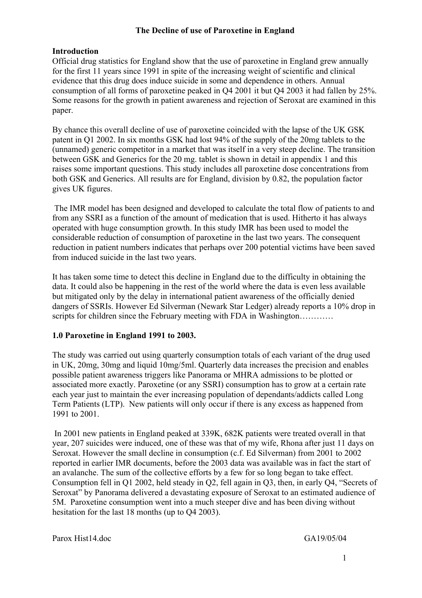## The Decline of use of Paroxetine in England

## Introduction

Official drug statistics for England show that the use of paroxetine in England grew annually for the first 11 years since 1991 in spite of the increasing weight of scientific and clinical evidence that this drug does induce suicide in some and dependence in others. Annual consumption of all forms of paroxetine peaked in Q4 2001 it but Q4 2003 it had fallen by 25%. Some reasons for the growth in patient awareness and rejection of Seroxat are examined in this paper.

By chance this overall decline of use of paroxetine coincided with the lapse of the UK GSK patent in Q1 2002. In six months GSK had lost 94% of the supply of the 20mg tablets to the (unnamed) generic competitor in a market that was itself in a very steep decline. The transition between GSK and Generics for the 20 mg. tablet is shown in detail in appendix 1 and this raises some important questions. This study includes all paroxetine dose concentrations from both GSK and Generics. All results are for England, division by 0.82, the population factor gives UK figures.

 The IMR model has been designed and developed to calculate the total flow of patients to and from any SSRI as a function of the amount of medication that is used. Hitherto it has always operated with huge consumption growth. In this study IMR has been used to model the considerable reduction of consumption of paroxetine in the last two years. The consequent reduction in patient numbers indicates that perhaps over 200 potential victims have been saved from induced suicide in the last two years.

It has taken some time to detect this decline in England due to the difficulty in obtaining the data. It could also be happening in the rest of the world where the data is even less available but mitigated only by the delay in international patient awareness of the officially denied dangers of SSRIs. However Ed Silverman (Newark Star Ledger) already reports a 10% drop in scripts for children since the February meeting with FDA in Washington…………

## 1.0 Paroxetine in England 1991 to 2003.

The study was carried out using quarterly consumption totals of each variant of the drug used in UK, 20mg, 30mg and liquid 10mg/5ml. Quarterly data increases the precision and enables possible patient awareness triggers like Panorama or MHRA admissions to be plotted or associated more exactly. Paroxetine (or any SSRI) consumption has to grow at a certain rate each year just to maintain the ever increasing population of dependants/addicts called Long Term Patients (LTP). New patients will only occur if there is any excess as happened from 1991 to 2001.

 In 2001 new patients in England peaked at 339K, 682K patients were treated overall in that year, 207 suicides were induced, one of these was that of my wife, Rhona after just 11 days on Seroxat. However the small decline in consumption (c.f. Ed Silverman) from 2001 to 2002 reported in earlier IMR documents, before the 2003 data was available was in fact the start of an avalanche. The sum of the collective efforts by a few for so long began to take effect. Consumption fell in Q1 2002, held steady in Q2, fell again in Q3, then, in early Q4, "Secrets of Seroxat" by Panorama delivered a devastating exposure of Seroxat to an estimated audience of 5M. Paroxetine consumption went into a much steeper dive and has been diving without hesitation for the last 18 months (up to Q4 2003).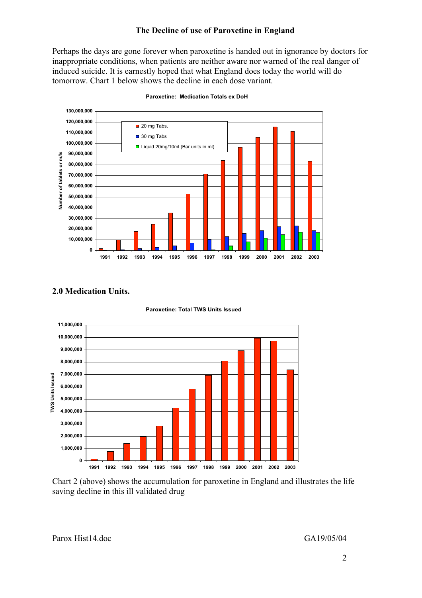#### The Decline of use of Paroxetine in England

Perhaps the days are gone forever when paroxetine is handed out in ignorance by doctors for inappropriate conditions, when patients are neither aware nor warned of the real danger of induced suicide. It is earnestly hoped that what England does today the world will do tomorrow. Chart 1 below shows the decline in each dose variant.



**Paroxetine: Medication Totals ex DoH**

#### 2.0 Medication Units.





Chart 2 (above) shows the accumulation for paroxetine in England and illustrates the life saving decline in this ill validated drug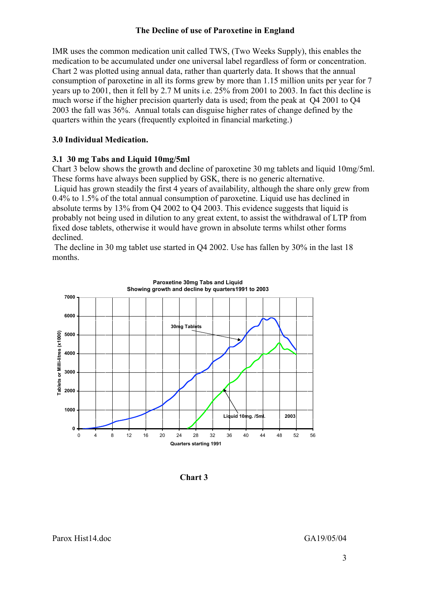### The Decline of use of Paroxetine in England

IMR uses the common medication unit called TWS, (Two Weeks Supply), this enables the medication to be accumulated under one universal label regardless of form or concentration. Chart 2 was plotted using annual data, rather than quarterly data. It shows that the annual consumption of paroxetine in all its forms grew by more than 1.15 million units per year for 7 years up to 2001, then it fell by 2.7 M units i.e. 25% from 2001 to 2003. In fact this decline is much worse if the higher precision quarterly data is used; from the peak at Q4 2001 to Q4 2003 the fall was 36%. Annual totals can disguise higher rates of change defined by the quarters within the years (frequently exploited in financial marketing.)

## 3.0 Individual Medication.

# 3.1 30 mg Tabs and Liquid 10mg/5ml

Chart 3 below shows the growth and decline of paroxetine 30 mg tablets and liquid 10mg/5ml. These forms have always been supplied by GSK, there is no generic alternative. Liquid has grown steadily the first 4 years of availability, although the share only grew from 0.4% to 1.5% of the total annual consumption of paroxetine. Liquid use has declined in absolute terms by  $13\%$  from O4 2002 to O4 2003. This evidence suggests that liquid is probably not being used in dilution to any great extent, to assist the withdrawal of LTP from fixed dose tablets, otherwise it would have grown in absolute terms whilst other forms declined.

 The decline in 30 mg tablet use started in Q4 2002. Use has fallen by 30% in the last 18 months.



Chart 3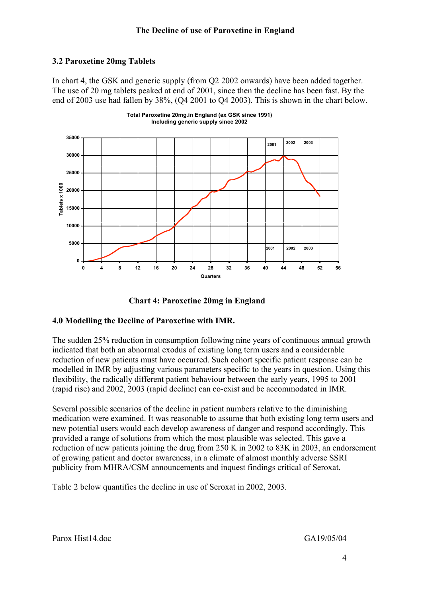# 3.2 Paroxetine 20mg Tablets

In chart 4, the GSK and generic supply (from Q2 2002 onwards) have been added together. The use of 20 mg tablets peaked at end of 2001, since then the decline has been fast. By the end of 2003 use had fallen by 38%, (Q4 2001 to Q4 2003). This is shown in the chart below.







# 4.0 Modelling the Decline of Paroxetine with IMR.

The sudden 25% reduction in consumption following nine years of continuous annual growth indicated that both an abnormal exodus of existing long term users and a considerable reduction of new patients must have occurred. Such cohort specific patient response can be modelled in IMR by adjusting various parameters specific to the years in question. Using this flexibility, the radically different patient behaviour between the early years, 1995 to 2001 (rapid rise) and 2002, 2003 (rapid decline) can co-exist and be accommodated in IMR.

Several possible scenarios of the decline in patient numbers relative to the diminishing medication were examined. It was reasonable to assume that both existing long term users and new potential users would each develop awareness of danger and respond accordingly. This provided a range of solutions from which the most plausible was selected. This gave a reduction of new patients joining the drug from 250 K in 2002 to 83K in 2003, an endorsement of growing patient and doctor awareness, in a climate of almost monthly adverse SSRI publicity from MHRA/CSM announcements and inquest findings critical of Seroxat.

Table 2 below quantifies the decline in use of Seroxat in 2002, 2003.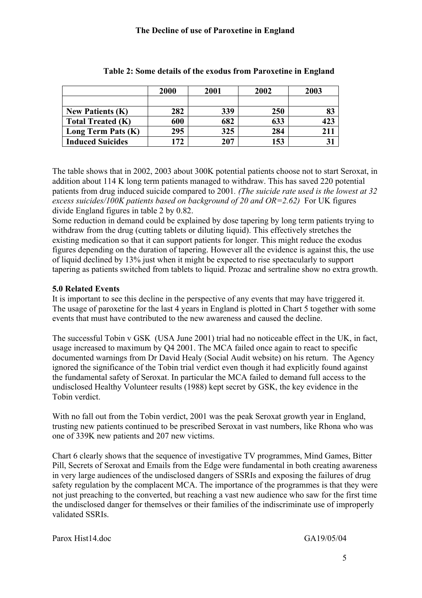|                          | 2000 | 2001 | 2002 | 2003 |
|--------------------------|------|------|------|------|
|                          |      |      |      |      |
| <b>New Patients (K)</b>  | 282  | 339  | 250  | 83   |
| <b>Total Treated (K)</b> | 600  | 682  | 633  | 423  |
| Long Term Pats (K)       | 295  | 325  | 284  |      |
| <b>Induced Suicides</b>  | 172  | 207  | 153  |      |

### Table 2: Some details of the exodus from Paroxetine in England

The table shows that in 2002, 2003 about 300K potential patients choose not to start Seroxat, in addition about 114 K long term patients managed to withdraw. This has saved 220 potential patients from drug induced suicide compared to 2001*. (The suicide rate used is the lowest at 32 excess suicides/100K patients based on background of 20 and OR=2.62)* For UK figures divide England figures in table 2 by 0.82.

Some reduction in demand could be explained by dose tapering by long term patients trying to withdraw from the drug (cutting tablets or diluting liquid). This effectively stretches the existing medication so that it can support patients for longer. This might reduce the exodus figures depending on the duration of tapering. However all the evidence is against this, the use of liquid declined by 13% just when it might be expected to rise spectacularly to support tapering as patients switched from tablets to liquid. Prozac and sertraline show no extra growth.

# 5.0 Related Events

It is important to see this decline in the perspective of any events that may have triggered it. The usage of paroxetine for the last 4 years in England is plotted in Chart 5 together with some events that must have contributed to the new awareness and caused the decline.

The successful Tobin v GSK (USA June 2001) trial had no noticeable effect in the UK, in fact, usage increased to maximum by Q4 2001. The MCA failed once again to react to specific documented warnings from Dr David Healy (Social Audit website) on his return. The Agency ignored the significance of the Tobin trial verdict even though it had explicitly found against the fundamental safety of Seroxat. In particular the MCA failed to demand full access to the undisclosed Healthy Volunteer results (1988) kept secret by GSK, the key evidence in the Tobin verdict.

With no fall out from the Tobin verdict, 2001 was the peak Seroxat growth year in England, trusting new patients continued to be prescribed Seroxat in vast numbers, like Rhona who was one of 339K new patients and 207 new victims.

Chart 6 clearly shows that the sequence of investigative TV programmes, Mind Games, Bitter Pill, Secrets of Seroxat and Emails from the Edge were fundamental in both creating awareness in very large audiences of the undisclosed dangers of SSRIs and exposing the failures of drug safety regulation by the complacent MCA. The importance of the programmes is that they were not just preaching to the converted, but reaching a vast new audience who saw for the first time the undisclosed danger for themselves or their families of the indiscriminate use of improperly validated SSRIs.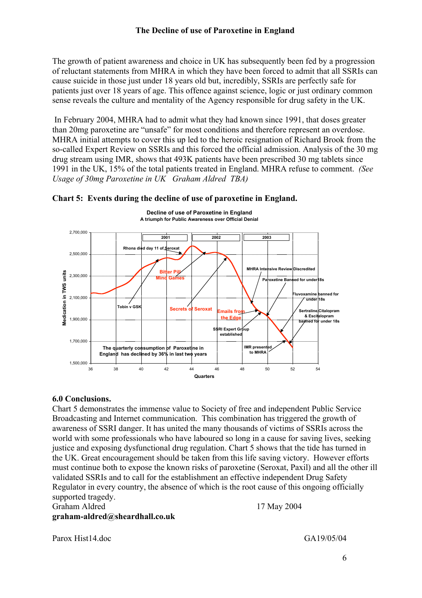The growth of patient awareness and choice in UK has subsequently been fed by a progression of reluctant statements from MHRA in which they have been forced to admit that all SSRIs can cause suicide in those just under 18 years old but, incredibly, SSRIs are perfectly safe for patients just over 18 years of age. This offence against science, logic or just ordinary common sense reveals the culture and mentality of the Agency responsible for drug safety in the UK.

 In February 2004, MHRA had to admit what they had known since 1991, that doses greater than 20mg paroxetine are "unsafe" for most conditions and therefore represent an overdose. MHRA initial attempts to cover this up led to the heroic resignation of Richard Brook from the so-called Expert Review on SSRIs and this forced the official admission. Analysis of the 30 mg drug stream using IMR, shows that 493K patients have been prescribed 30 mg tablets since 1991 in the UK, 15% of the total patients treated in England. MHRA refuse to comment. *(See Usage of 30mg Paroxetine in UK Graham Aldred TBA)*





6.0 Conclusions.

Chart 5 demonstrates the immense value to Society of free and independent Public Service Broadcasting and Internet communication. This combination has triggered the growth of awareness of SSRI danger. It has united the many thousands of victims of SSRIs across the world with some professionals who have laboured so long in a cause for saving lives, seeking justice and exposing dysfunctional drug regulation. Chart 5 shows that the tide has turned in the UK. Great encouragement should be taken from this life saving victory. However efforts must continue both to expose the known risks of paroxetine (Seroxat, Paxil) and all the other ill validated SSRIs and to call for the establishment an effective independent Drug Safety Regulator in every country, the absence of which is the root cause of this ongoing officially supported tragedy.

graham-aldred@sheardhall.co.uk

Graham Aldred 17 May 2004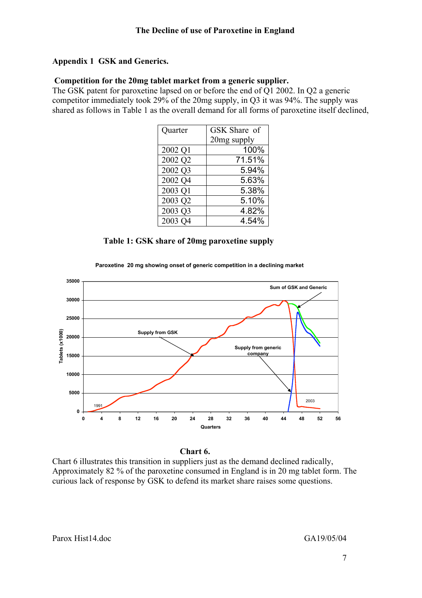# Appendix 1 GSK and Generics.

#### Competition for the 20mg tablet market from a generic supplier.

The GSK patent for paroxetine lapsed on or before the end of Q1 2002. In Q2 a generic competitor immediately took 29% of the 20mg supply, in Q3 it was 94%. The supply was shared as follows in Table 1 as the overall demand for all forms of paroxetine itself declined,

| Quarter | GSK Share of |
|---------|--------------|
|         | 20mg supply  |
| 2002 Q1 | 100%         |
| 2002 Q2 | 71.51%       |
| 2002 Q3 | 5.94%        |
| 2002 Q4 | 5.63%        |
| 2003 Q1 | 5.38%        |
| 2003 Q2 | 5.10%        |
| 2003 Q3 | 4.82%        |
| 2003 Q4 | 4.54%        |

Table 1: GSK share of 20mg paroxetine supply





#### Chart 6.

Chart 6 illustrates this transition in suppliers just as the demand declined radically, Approximately 82 % of the paroxetine consumed in England is in 20 mg tablet form. The curious lack of response by GSK to defend its market share raises some questions.